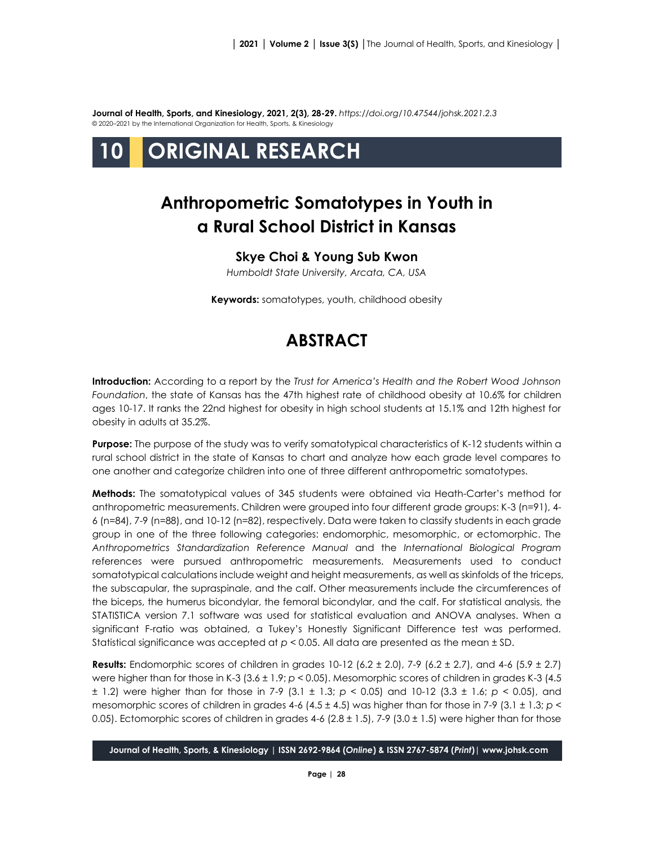**Journal of Health, Sports, and Kinesiology, 2021, 2(3), 28-29.** *<https://doi.org/10.47544/johsk.2021.2.3>* © 2020–2021 by the International Organization for Health, Sports, & Kinesiology



# **Anthropometric Somatotypes in Youth in a Rural School District in Kansas**

### **Skye Choi & Young Sub Kwon**

*Humboldt State University, Arcata, CA, USA*

**Keywords:** somatotypes, youth, childhood obesity

## **ABSTRACT**

**Introduction:** According to a report by the *Trust for America's Health and the Robert Wood Johnson Foundation*, the state of Kansas has the 47th highest rate of childhood obesity at 10.6% for children ages 10-17. It ranks the 22nd highest for obesity in high school students at 15.1% and 12th highest for obesity in adults at 35.2%.

**Purpose:** The purpose of the study was to verify somatotypical characteristics of K-12 students within a rural school district in the state of Kansas to chart and analyze how each grade level compares to one another and categorize children into one of three different anthropometric somatotypes.

**Methods:** The somatotypical values of 345 students were obtained via Heath-Carter's method for anthropometric measurements. Children were grouped into four different grade groups: K-3 (n=91), 4- 6 (n=84), 7-9 (n=88), and 10-12 (n=82), respectively. Data were taken to classify students in each grade group in one of the three following categories: endomorphic, mesomorphic, or ectomorphic. The *Anthropometrics Standardization Reference Manual* and the *International Biological Program*  references were pursued anthropometric measurements. Measurements used to conduct somatotypical calculations include weight and height measurements, as well as skinfolds of the triceps, the subscapular, the supraspinale, and the calf. Other measurements include the circumferences of the biceps, the humerus bicondylar, the femoral bicondylar, and the calf. For statistical analysis, the STATISTICA version 7.1 software was used for statistical evaluation and ANOVA analyses. When a significant F-ratio was obtained, a Tukey's Honestly Significant Difference test was performed. Statistical significance was accepted at *p* < 0.05. All data are presented as the mean ± SD.

**Results:** Endomorphic scores of children in grades 10-12 (6.2 ± 2.0), 7-9 (6.2 ± 2.7), and 4-6 (5.9 ± 2.7) were higher than for those in K-3 (3.6 ± 1.9; *p* < 0.05). Mesomorphic scores of children in grades K-3 (4.5 ± 1.2) were higher than for those in 7-9 (3.1 ± 1.3; *p* < 0.05) and 10-12 (3.3 ± 1.6; *p* < 0.05), and mesomorphic scores of children in grades 4-6 (4.5 ± 4.5) was higher than for those in 7-9 (3.1 ± 1.3; *p* < 0.05). Ectomorphic scores of children in grades 4-6 (2.8  $\pm$  1.5), 7-9 (3.0  $\pm$  1.5) were higher than for those